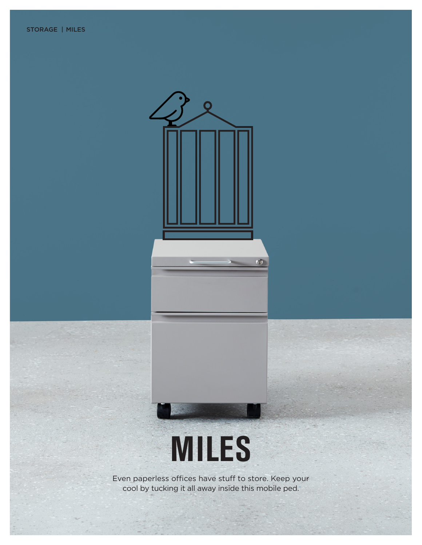



Even paperless offices have stuff to store. Keep your cool by tucking it all away inside this mobile ped.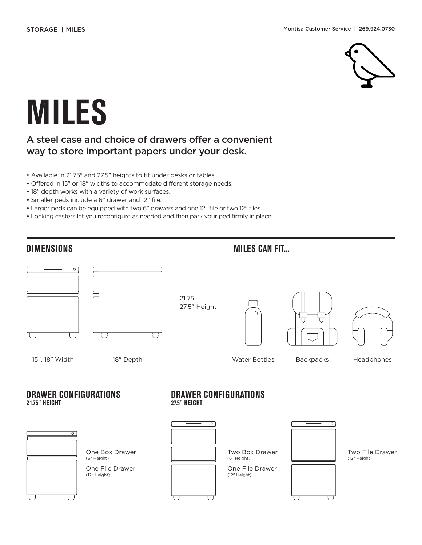

# **MILES**

### A steel case and choice of drawers offer a convenient way to store important papers under your desk.

- Available in 21.75" and 27.5" heights to fit under desks or tables.
- Offered in 15" or 18" widths to accommodate different storage needs.
- 18" depth works with a variety of work surfaces.
- Smaller peds include a 6" drawer and 12" file.
- Larger peds can be equipped with two 6" drawers and one 12" file or two 12" files.
- Locking casters let you reconfigure as needed and then park your ped firmly in place.

#### **DIMENSIONS MILES CAN FIT...**



#### **DRAWER CONFIGURATIONS 21.75" HEIGHT**

#### **DRAWER CONFIGURATIONS 27.5" HEIGHT**